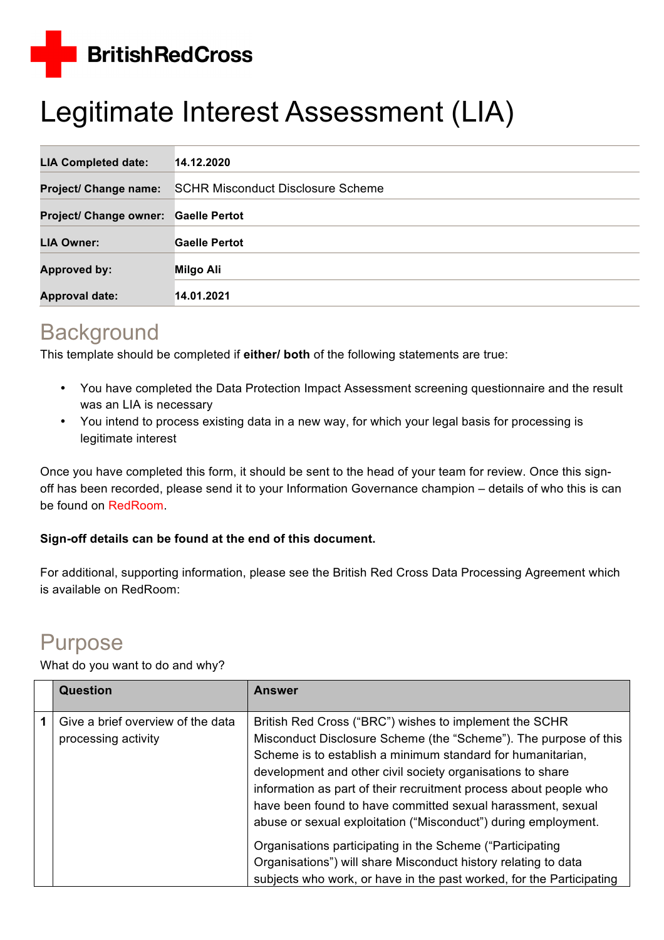**BritishRedCross** 

# Legitimate Interest Assessment (LIA)

| <b>LIA Completed date:</b>    | 14.12.2020                               |
|-------------------------------|------------------------------------------|
| <b>Project/ Change name:</b>  | <b>SCHR Misconduct Disclosure Scheme</b> |
| <b>Project/ Change owner:</b> | <b>Gaelle Pertot</b>                     |
| <b>LIA Owner:</b>             | <b>Gaelle Pertot</b>                     |
| <b>Approved by:</b>           | <b>Milgo Ali</b>                         |
| <b>Approval date:</b>         | 14.01.2021                               |

# **Background**

This template should be completed if **either/ both** of the following statements are true:

- You have completed the Data Protection Impact Assessment screening questionnaire and the result was an LIA is necessary
- You intend to process existing data in a new way, for which your legal basis for processing is legitimate interest

Once you have completed this form, it should be sent to the head of your team for review. Once this signoff has been recorded, please send it to your Information Governance champion – details of who this is can be found on RedRoom.

#### **Sign-off details can be found at the end of this document.**

For additional, supporting information, please see the British Red Cross Data Processing Agreement which is available on RedRoom:

# Purpose

What do you want to do and why?

| <b>Question</b>                                          | <b>Answer</b>                                                                                                                                                                                                                                                                                                                                                                                                                                                 |
|----------------------------------------------------------|---------------------------------------------------------------------------------------------------------------------------------------------------------------------------------------------------------------------------------------------------------------------------------------------------------------------------------------------------------------------------------------------------------------------------------------------------------------|
| Give a brief overview of the data<br>processing activity | British Red Cross ("BRC") wishes to implement the SCHR<br>Misconduct Disclosure Scheme (the "Scheme"). The purpose of this<br>Scheme is to establish a minimum standard for humanitarian,<br>development and other civil society organisations to share<br>information as part of their recruitment process about people who<br>have been found to have committed sexual harassment, sexual<br>abuse or sexual exploitation ("Misconduct") during employment. |
|                                                          | Organisations participating in the Scheme ("Participating")<br>Organisations") will share Misconduct history relating to data<br>subjects who work, or have in the past worked, for the Participating                                                                                                                                                                                                                                                         |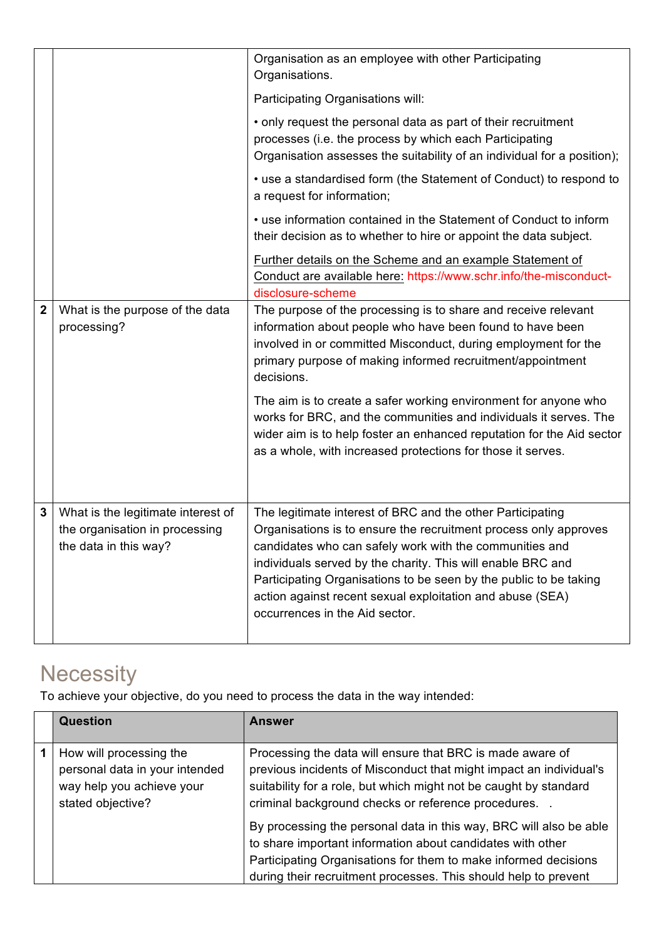|                         |                                                                                               | Organisation as an employee with other Participating<br>Organisations.                                                                                                                                                                                                                                                                                                                                                       |
|-------------------------|-----------------------------------------------------------------------------------------------|------------------------------------------------------------------------------------------------------------------------------------------------------------------------------------------------------------------------------------------------------------------------------------------------------------------------------------------------------------------------------------------------------------------------------|
|                         |                                                                                               | Participating Organisations will:                                                                                                                                                                                                                                                                                                                                                                                            |
|                         |                                                                                               | • only request the personal data as part of their recruitment<br>processes (i.e. the process by which each Participating<br>Organisation assesses the suitability of an individual for a position);                                                                                                                                                                                                                          |
|                         |                                                                                               | • use a standardised form (the Statement of Conduct) to respond to<br>a request for information;                                                                                                                                                                                                                                                                                                                             |
|                         |                                                                                               | • use information contained in the Statement of Conduct to inform<br>their decision as to whether to hire or appoint the data subject.                                                                                                                                                                                                                                                                                       |
|                         |                                                                                               | Further details on the Scheme and an example Statement of<br>Conduct are available here: https://www.schr.info/the-misconduct-<br>disclosure-scheme                                                                                                                                                                                                                                                                          |
| $\overline{\mathbf{2}}$ | What is the purpose of the data<br>processing?                                                | The purpose of the processing is to share and receive relevant<br>information about people who have been found to have been<br>involved in or committed Misconduct, during employment for the<br>primary purpose of making informed recruitment/appointment<br>decisions.                                                                                                                                                    |
|                         |                                                                                               | The aim is to create a safer working environment for anyone who<br>works for BRC, and the communities and individuals it serves. The<br>wider aim is to help foster an enhanced reputation for the Aid sector<br>as a whole, with increased protections for those it serves.                                                                                                                                                 |
| $\mathbf 3$             | What is the legitimate interest of<br>the organisation in processing<br>the data in this way? | The legitimate interest of BRC and the other Participating<br>Organisations is to ensure the recruitment process only approves<br>candidates who can safely work with the communities and<br>individuals served by the charity. This will enable BRC and<br>Participating Organisations to be seen by the public to be taking<br>action against recent sexual exploitation and abuse (SEA)<br>occurrences in the Aid sector. |

# **Necessity**

To achieve your objective, do you need to process the data in the way intended:

| <b>Question</b>                                                                                             | <b>Answer</b>                                                                                                                                                                                                                                                          |
|-------------------------------------------------------------------------------------------------------------|------------------------------------------------------------------------------------------------------------------------------------------------------------------------------------------------------------------------------------------------------------------------|
| How will processing the<br>personal data in your intended<br>way help you achieve your<br>stated objective? | Processing the data will ensure that BRC is made aware of<br>previous incidents of Misconduct that might impact an individual's<br>suitability for a role, but which might not be caught by standard<br>criminal background checks or reference procedures             |
|                                                                                                             | By processing the personal data in this way, BRC will also be able<br>to share important information about candidates with other<br>Participating Organisations for them to make informed decisions<br>during their recruitment processes. This should help to prevent |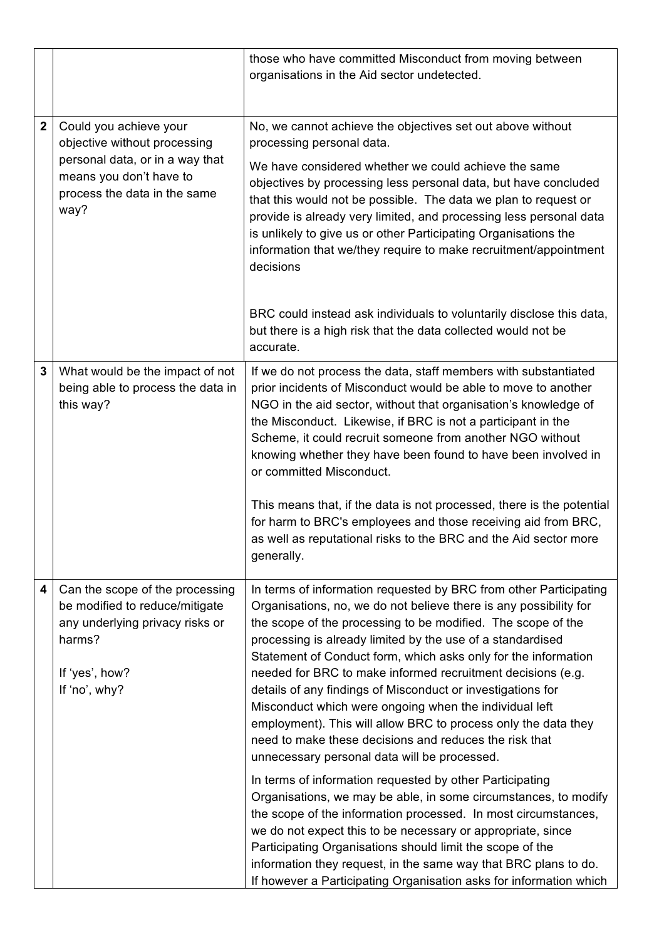|              |                                                                                                                                                              | those who have committed Misconduct from moving between<br>organisations in the Aid sector undetected.                                                                                                                                                                                                                                                                                                                                                                                                                                                                                                                                                                                                                                                                 |
|--------------|--------------------------------------------------------------------------------------------------------------------------------------------------------------|------------------------------------------------------------------------------------------------------------------------------------------------------------------------------------------------------------------------------------------------------------------------------------------------------------------------------------------------------------------------------------------------------------------------------------------------------------------------------------------------------------------------------------------------------------------------------------------------------------------------------------------------------------------------------------------------------------------------------------------------------------------------|
| $\mathbf{2}$ | Could you achieve your<br>objective without processing<br>personal data, or in a way that<br>means you don't have to<br>process the data in the same<br>way? | No, we cannot achieve the objectives set out above without<br>processing personal data.<br>We have considered whether we could achieve the same<br>objectives by processing less personal data, but have concluded<br>that this would not be possible. The data we plan to request or<br>provide is already very limited, and processing less personal data<br>is unlikely to give us or other Participating Organisations the<br>information that we/they require to make recruitment/appointment<br>decisions<br>BRC could instead ask individuals to voluntarily disclose this data,                                                                                                                                                                                |
|              |                                                                                                                                                              | but there is a high risk that the data collected would not be<br>accurate.                                                                                                                                                                                                                                                                                                                                                                                                                                                                                                                                                                                                                                                                                             |
| $\mathbf 3$  | What would be the impact of not<br>being able to process the data in<br>this way?                                                                            | If we do not process the data, staff members with substantiated<br>prior incidents of Misconduct would be able to move to another<br>NGO in the aid sector, without that organisation's knowledge of<br>the Misconduct. Likewise, if BRC is not a participant in the<br>Scheme, it could recruit someone from another NGO without<br>knowing whether they have been found to have been involved in<br>or committed Misconduct.<br>This means that, if the data is not processed, there is the potential<br>for harm to BRC's employees and those receiving aid from BRC,<br>as well as reputational risks to the BRC and the Aid sector more<br>generally.                                                                                                             |
| 4            | Can the scope of the processing<br>be modified to reduce/mitigate<br>any underlying privacy risks or<br>harms?<br>If 'yes', how?<br>If 'no', why?            | In terms of information requested by BRC from other Participating<br>Organisations, no, we do not believe there is any possibility for<br>the scope of the processing to be modified. The scope of the<br>processing is already limited by the use of a standardised<br>Statement of Conduct form, which asks only for the information<br>needed for BRC to make informed recruitment decisions (e.g.<br>details of any findings of Misconduct or investigations for<br>Misconduct which were ongoing when the individual left<br>employment). This will allow BRC to process only the data they<br>need to make these decisions and reduces the risk that<br>unnecessary personal data will be processed.<br>In terms of information requested by other Participating |
|              |                                                                                                                                                              | Organisations, we may be able, in some circumstances, to modify<br>the scope of the information processed. In most circumstances,<br>we do not expect this to be necessary or appropriate, since<br>Participating Organisations should limit the scope of the<br>information they request, in the same way that BRC plans to do.<br>If however a Participating Organisation asks for information which                                                                                                                                                                                                                                                                                                                                                                 |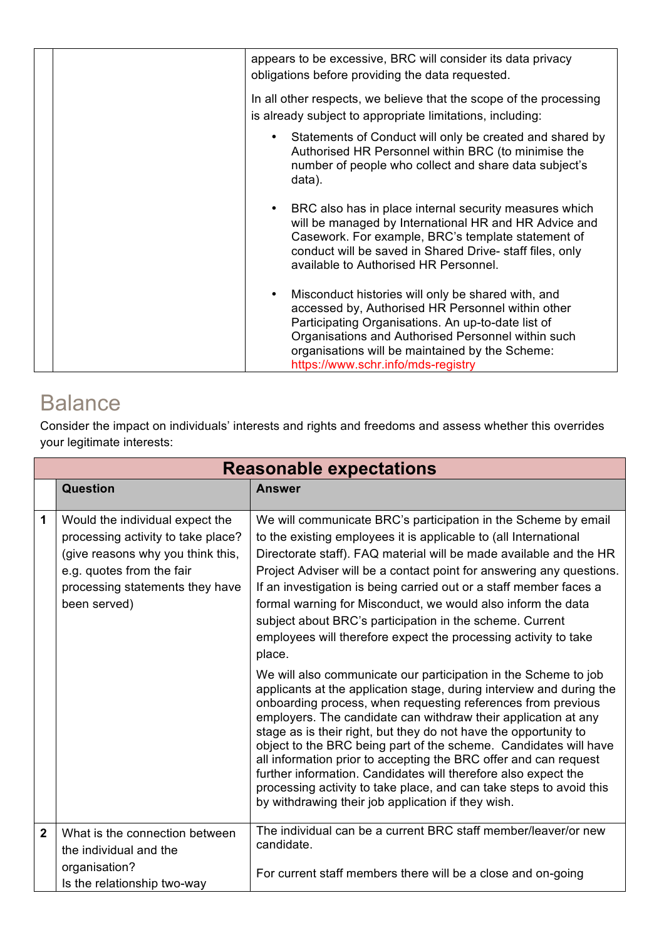|  | appears to be excessive, BRC will consider its data privacy<br>obligations before providing the data requested.                                                                                                                                                                                              |
|--|--------------------------------------------------------------------------------------------------------------------------------------------------------------------------------------------------------------------------------------------------------------------------------------------------------------|
|  | In all other respects, we believe that the scope of the processing<br>is already subject to appropriate limitations, including:                                                                                                                                                                              |
|  | Statements of Conduct will only be created and shared by<br>Authorised HR Personnel within BRC (to minimise the<br>number of people who collect and share data subject's<br>data).                                                                                                                           |
|  | BRC also has in place internal security measures which<br>will be managed by International HR and HR Advice and<br>Casework. For example, BRC's template statement of<br>conduct will be saved in Shared Drive- staff files, only<br>available to Authorised HR Personnel.                                   |
|  | Misconduct histories will only be shared with, and<br>accessed by, Authorised HR Personnel within other<br>Participating Organisations. An up-to-date list of<br>Organisations and Authorised Personnel within such<br>organisations will be maintained by the Scheme:<br>https://www.schr.info/mds-registry |

# **Balance**

Г

Consider the impact on individuals' interests and rights and freedoms and assess whether this overrides your legitimate interests:

|                | <b>Reasonable expectations</b>                                                                                                                                                             |                                                                                                                                                                                                                                                                                                                                                                                                                                                                                                                                                                                                                                                                                                                                                                                                                                                                                                                                                                                                                                                                                                                                                                                                                                                         |
|----------------|--------------------------------------------------------------------------------------------------------------------------------------------------------------------------------------------|---------------------------------------------------------------------------------------------------------------------------------------------------------------------------------------------------------------------------------------------------------------------------------------------------------------------------------------------------------------------------------------------------------------------------------------------------------------------------------------------------------------------------------------------------------------------------------------------------------------------------------------------------------------------------------------------------------------------------------------------------------------------------------------------------------------------------------------------------------------------------------------------------------------------------------------------------------------------------------------------------------------------------------------------------------------------------------------------------------------------------------------------------------------------------------------------------------------------------------------------------------|
|                | Question                                                                                                                                                                                   | <b>Answer</b>                                                                                                                                                                                                                                                                                                                                                                                                                                                                                                                                                                                                                                                                                                                                                                                                                                                                                                                                                                                                                                                                                                                                                                                                                                           |
| 1              | Would the individual expect the<br>processing activity to take place?<br>(give reasons why you think this,<br>e.g. quotes from the fair<br>processing statements they have<br>been served) | We will communicate BRC's participation in the Scheme by email<br>to the existing employees it is applicable to (all International<br>Directorate staff). FAQ material will be made available and the HR<br>Project Adviser will be a contact point for answering any questions.<br>If an investigation is being carried out or a staff member faces a<br>formal warning for Misconduct, we would also inform the data<br>subject about BRC's participation in the scheme. Current<br>employees will therefore expect the processing activity to take<br>place.<br>We will also communicate our participation in the Scheme to job<br>applicants at the application stage, during interview and during the<br>onboarding process, when requesting references from previous<br>employers. The candidate can withdraw their application at any<br>stage as is their right, but they do not have the opportunity to<br>object to the BRC being part of the scheme. Candidates will have<br>all information prior to accepting the BRC offer and can request<br>further information. Candidates will therefore also expect the<br>processing activity to take place, and can take steps to avoid this<br>by withdrawing their job application if they wish. |
| $\overline{2}$ | What is the connection between<br>the individual and the<br>organisation?                                                                                                                  | The individual can be a current BRC staff member/leaver/or new<br>candidate.<br>For current staff members there will be a close and on-going                                                                                                                                                                                                                                                                                                                                                                                                                                                                                                                                                                                                                                                                                                                                                                                                                                                                                                                                                                                                                                                                                                            |
|                | Is the relationship two-way                                                                                                                                                                |                                                                                                                                                                                                                                                                                                                                                                                                                                                                                                                                                                                                                                                                                                                                                                                                                                                                                                                                                                                                                                                                                                                                                                                                                                                         |

Ť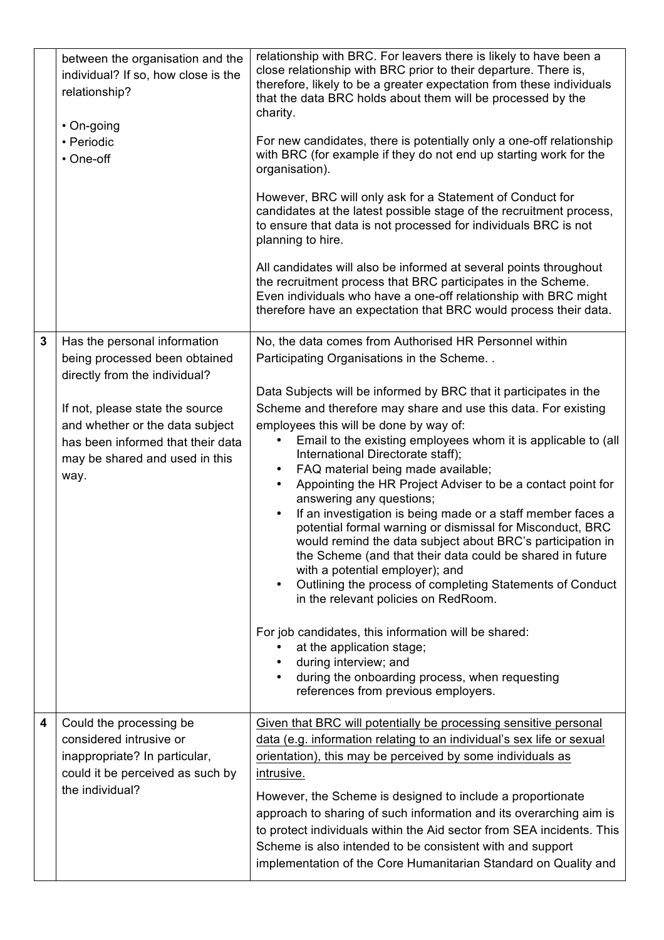|                         | between the organisation and the<br>individual? If so, how close is the<br>relationship?<br>• On-going<br>• Periodic<br>• One-off                                                                                                                   | relationship with BRC. For leavers there is likely to have been a<br>close relationship with BRC prior to their departure. There is,<br>therefore, likely to be a greater expectation from these individuals<br>that the data BRC holds about them will be processed by the<br>charity.<br>For new candidates, there is potentially only a one-off relationship<br>with BRC (for example if they do not end up starting work for the<br>organisation).<br>However, BRC will only ask for a Statement of Conduct for<br>candidates at the latest possible stage of the recruitment process,<br>to ensure that data is not processed for individuals BRC is not<br>planning to hire.                                                                                                                                                                                                                                                                                                                                                                                                                                                                          |
|-------------------------|-----------------------------------------------------------------------------------------------------------------------------------------------------------------------------------------------------------------------------------------------------|-------------------------------------------------------------------------------------------------------------------------------------------------------------------------------------------------------------------------------------------------------------------------------------------------------------------------------------------------------------------------------------------------------------------------------------------------------------------------------------------------------------------------------------------------------------------------------------------------------------------------------------------------------------------------------------------------------------------------------------------------------------------------------------------------------------------------------------------------------------------------------------------------------------------------------------------------------------------------------------------------------------------------------------------------------------------------------------------------------------------------------------------------------------|
|                         |                                                                                                                                                                                                                                                     | All candidates will also be informed at several points throughout<br>the recruitment process that BRC participates in the Scheme.<br>Even individuals who have a one-off relationship with BRC might<br>therefore have an expectation that BRC would process their data.                                                                                                                                                                                                                                                                                                                                                                                                                                                                                                                                                                                                                                                                                                                                                                                                                                                                                    |
| $\mathbf{3}$            | Has the personal information<br>being processed been obtained<br>directly from the individual?<br>If not, please state the source<br>and whether or the data subject<br>has been informed that their data<br>may be shared and used in this<br>way. | No, the data comes from Authorised HR Personnel within<br>Participating Organisations in the Scheme<br>Data Subjects will be informed by BRC that it participates in the<br>Scheme and therefore may share and use this data. For existing<br>employees this will be done by way of:<br>Email to the existing employees whom it is applicable to (all<br>International Directorate staff);<br>FAQ material being made available;<br>$\bullet$<br>Appointing the HR Project Adviser to be a contact point for<br>answering any questions;<br>If an investigation is being made or a staff member faces a<br>potential formal warning or dismissal for Misconduct, BRC<br>would remind the data subject about BRC's participation in<br>the Scheme (and that their data could be shared in future<br>with a potential employer); and<br>Outlining the process of completing Statements of Conduct<br>$\bullet$<br>in the relevant policies on RedRoom.<br>For job candidates, this information will be shared:<br>at the application stage;<br>during interview; and<br>during the onboarding process, when requesting<br>references from previous employers. |
| $\overline{\mathbf{4}}$ | Could the processing be<br>considered intrusive or<br>inappropriate? In particular,<br>could it be perceived as such by<br>the individual?                                                                                                          | Given that BRC will potentially be processing sensitive personal<br>data (e.g. information relating to an individual's sex life or sexual<br>orientation), this may be perceived by some individuals as<br>intrusive.<br>However, the Scheme is designed to include a proportionate<br>approach to sharing of such information and its overarching aim is<br>to protect individuals within the Aid sector from SEA incidents. This<br>Scheme is also intended to be consistent with and support<br>implementation of the Core Humanitarian Standard on Quality and                                                                                                                                                                                                                                                                                                                                                                                                                                                                                                                                                                                          |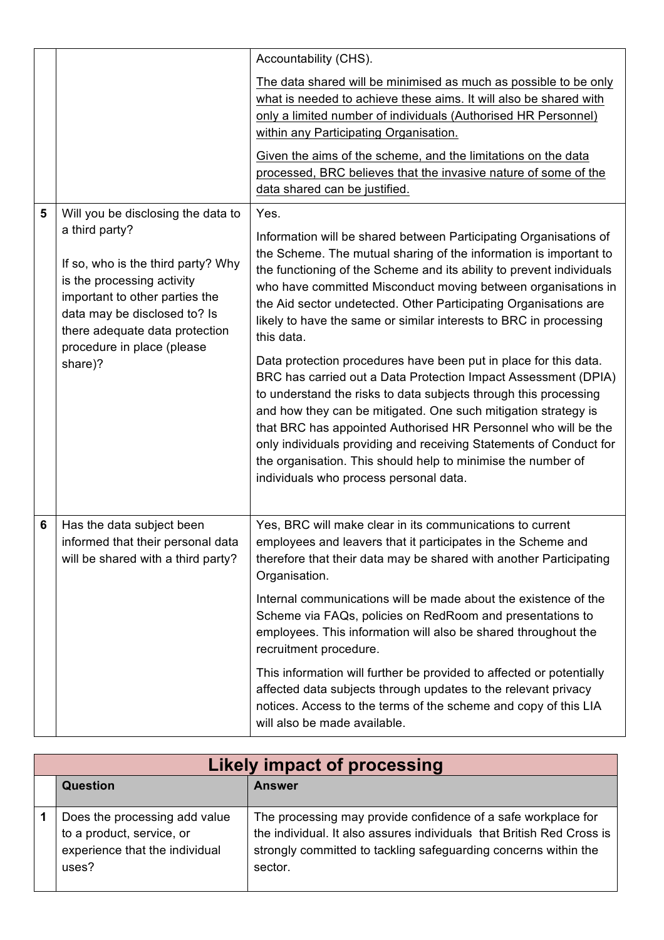|   |                                                                                                                                                                                                                                                                       | Accountability (CHS).                                                                                                                                                                                                                                                                                                                                                                                                                                                                                                                                                                                                                                                                                                                                                                                                                                                                                                                                                        |
|---|-----------------------------------------------------------------------------------------------------------------------------------------------------------------------------------------------------------------------------------------------------------------------|------------------------------------------------------------------------------------------------------------------------------------------------------------------------------------------------------------------------------------------------------------------------------------------------------------------------------------------------------------------------------------------------------------------------------------------------------------------------------------------------------------------------------------------------------------------------------------------------------------------------------------------------------------------------------------------------------------------------------------------------------------------------------------------------------------------------------------------------------------------------------------------------------------------------------------------------------------------------------|
|   |                                                                                                                                                                                                                                                                       | The data shared will be minimised as much as possible to be only<br>what is needed to achieve these aims. It will also be shared with<br>only a limited number of individuals (Authorised HR Personnel)<br>within any Participating Organisation.                                                                                                                                                                                                                                                                                                                                                                                                                                                                                                                                                                                                                                                                                                                            |
|   |                                                                                                                                                                                                                                                                       | Given the aims of the scheme, and the limitations on the data<br>processed, BRC believes that the invasive nature of some of the<br>data shared can be justified.                                                                                                                                                                                                                                                                                                                                                                                                                                                                                                                                                                                                                                                                                                                                                                                                            |
| 5 | Will you be disclosing the data to<br>a third party?<br>If so, who is the third party? Why<br>is the processing activity<br>important to other parties the<br>data may be disclosed to? Is<br>there adequate data protection<br>procedure in place (please<br>share)? | Yes.<br>Information will be shared between Participating Organisations of<br>the Scheme. The mutual sharing of the information is important to<br>the functioning of the Scheme and its ability to prevent individuals<br>who have committed Misconduct moving between organisations in<br>the Aid sector undetected. Other Participating Organisations are<br>likely to have the same or similar interests to BRC in processing<br>this data.<br>Data protection procedures have been put in place for this data.<br>BRC has carried out a Data Protection Impact Assessment (DPIA)<br>to understand the risks to data subjects through this processing<br>and how they can be mitigated. One such mitigation strategy is<br>that BRC has appointed Authorised HR Personnel who will be the<br>only individuals providing and receiving Statements of Conduct for<br>the organisation. This should help to minimise the number of<br>individuals who process personal data. |
| 6 | Has the data subject been<br>informed that their personal data<br>will be shared with a third party?                                                                                                                                                                  | Yes, BRC will make clear in its communications to current<br>employees and leavers that it participates in the Scheme and<br>therefore that their data may be shared with another Participating<br>Organisation.<br>Internal communications will be made about the existence of the<br>Scheme via FAQs, policies on RedRoom and presentations to<br>employees. This information will also be shared throughout the<br>recruitment procedure.<br>This information will further be provided to affected or potentially<br>affected data subjects through updates to the relevant privacy<br>notices. Access to the terms of the scheme and copy of this LIA<br>will also be made available.                                                                                                                                                                                                                                                                                    |

| <b>Likely impact of processing</b>                                                                    |                                                                                                                                                                                                                      |
|-------------------------------------------------------------------------------------------------------|----------------------------------------------------------------------------------------------------------------------------------------------------------------------------------------------------------------------|
| <b>Question</b>                                                                                       | <b>Answer</b>                                                                                                                                                                                                        |
| Does the processing add value<br>to a product, service, or<br>experience that the individual<br>uses? | The processing may provide confidence of a safe workplace for<br>the individual. It also assures individuals that British Red Cross is<br>strongly committed to tackling safeguarding concerns within the<br>sector. |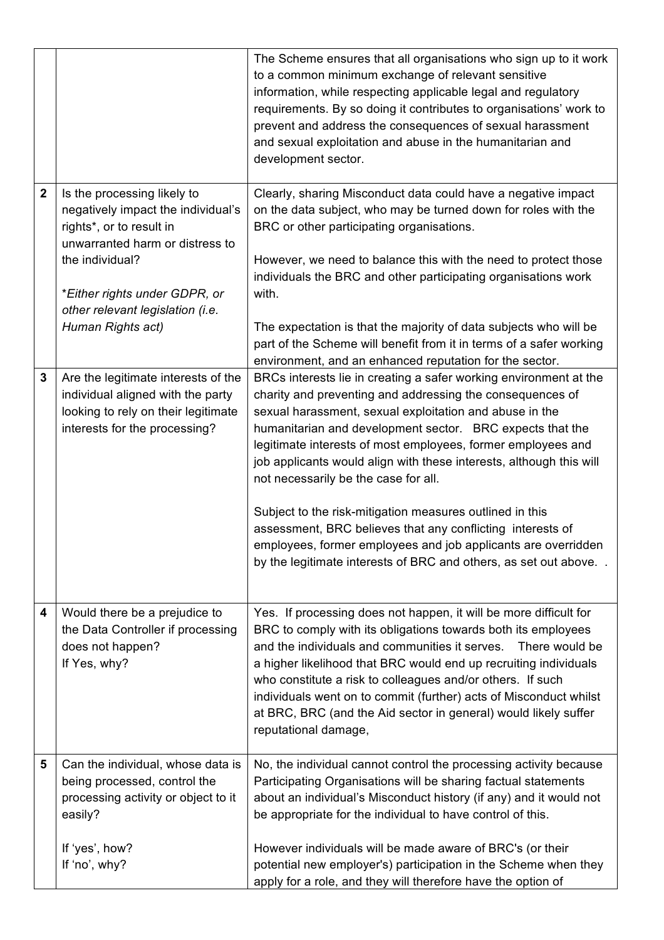|              |                                                                                                                                                     | The Scheme ensures that all organisations who sign up to it work<br>to a common minimum exchange of relevant sensitive<br>information, while respecting applicable legal and regulatory<br>requirements. By so doing it contributes to organisations' work to<br>prevent and address the consequences of sexual harassment<br>and sexual exploitation and abuse in the humanitarian and<br>development sector.                                                                                                                                                                                                                                                                                      |
|--------------|-----------------------------------------------------------------------------------------------------------------------------------------------------|-----------------------------------------------------------------------------------------------------------------------------------------------------------------------------------------------------------------------------------------------------------------------------------------------------------------------------------------------------------------------------------------------------------------------------------------------------------------------------------------------------------------------------------------------------------------------------------------------------------------------------------------------------------------------------------------------------|
| $\mathbf{2}$ | Is the processing likely to<br>negatively impact the individual's<br>rights*, or to result in<br>unwarranted harm or distress to<br>the individual? | Clearly, sharing Misconduct data could have a negative impact<br>on the data subject, who may be turned down for roles with the<br>BRC or other participating organisations.<br>However, we need to balance this with the need to protect those<br>individuals the BRC and other participating organisations work                                                                                                                                                                                                                                                                                                                                                                                   |
|              | *Either rights under GDPR, or<br>other relevant legislation (i.e.                                                                                   | with.                                                                                                                                                                                                                                                                                                                                                                                                                                                                                                                                                                                                                                                                                               |
|              | Human Rights act)                                                                                                                                   | The expectation is that the majority of data subjects who will be<br>part of the Scheme will benefit from it in terms of a safer working<br>environment, and an enhanced reputation for the sector.                                                                                                                                                                                                                                                                                                                                                                                                                                                                                                 |
| 3            | Are the legitimate interests of the<br>individual aligned with the party<br>looking to rely on their legitimate<br>interests for the processing?    | BRCs interests lie in creating a safer working environment at the<br>charity and preventing and addressing the consequences of<br>sexual harassment, sexual exploitation and abuse in the<br>humanitarian and development sector. BRC expects that the<br>legitimate interests of most employees, former employees and<br>job applicants would align with these interests, although this will<br>not necessarily be the case for all.<br>Subject to the risk-mitigation measures outlined in this<br>assessment, BRC believes that any conflicting interests of<br>employees, former employees and job applicants are overridden<br>by the legitimate interests of BRC and others, as set out above |
| 4            | Would there be a prejudice to<br>the Data Controller if processing<br>does not happen?<br>If Yes, why?                                              | Yes. If processing does not happen, it will be more difficult for<br>BRC to comply with its obligations towards both its employees<br>and the individuals and communities it serves.  There would be<br>a higher likelihood that BRC would end up recruiting individuals<br>who constitute a risk to colleagues and/or others. If such<br>individuals went on to commit (further) acts of Misconduct whilst<br>at BRC, BRC (and the Aid sector in general) would likely suffer<br>reputational damage,                                                                                                                                                                                              |
| 5            | Can the individual, whose data is<br>being processed, control the<br>processing activity or object to it<br>easily?                                 | No, the individual cannot control the processing activity because<br>Participating Organisations will be sharing factual statements<br>about an individual's Misconduct history (if any) and it would not<br>be appropriate for the individual to have control of this.                                                                                                                                                                                                                                                                                                                                                                                                                             |
|              | If 'yes', how?<br>If 'no', why?                                                                                                                     | However individuals will be made aware of BRC's (or their<br>potential new employer's) participation in the Scheme when they<br>apply for a role, and they will therefore have the option of                                                                                                                                                                                                                                                                                                                                                                                                                                                                                                        |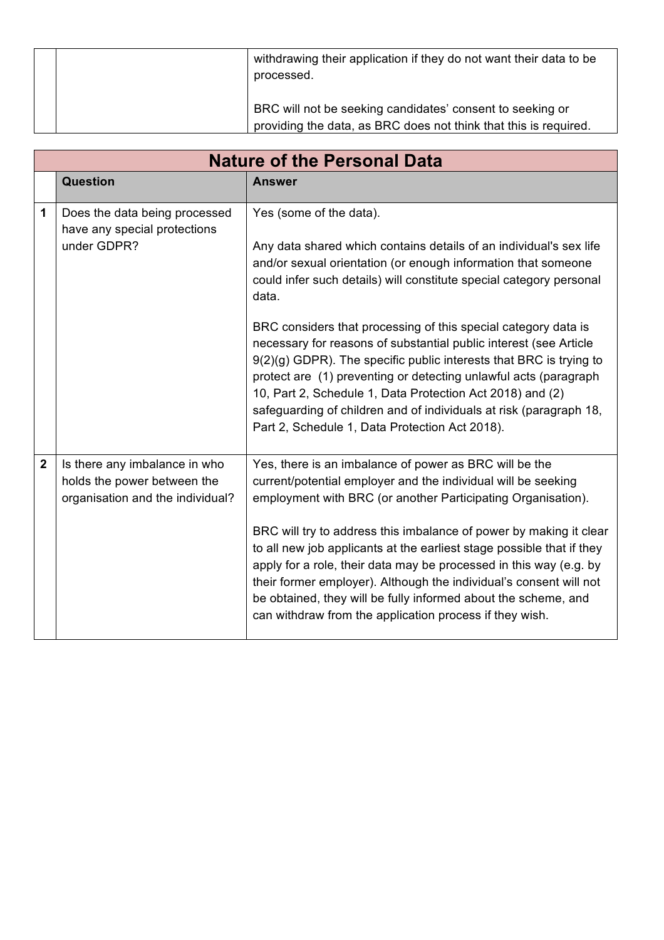| withdrawing their application if they do not want their data to be<br>processed.                                              |
|-------------------------------------------------------------------------------------------------------------------------------|
| BRC will not be seeking candidates' consent to seeking or<br>providing the data, as BRC does not think that this is required. |

|                | <b>Nature of the Personal Data</b>                                                               |                                                                                                                                                                                                                                                                                                                                                                                                                                                                                                                                                                                                                                                                                                                      |  |  |  |  |
|----------------|--------------------------------------------------------------------------------------------------|----------------------------------------------------------------------------------------------------------------------------------------------------------------------------------------------------------------------------------------------------------------------------------------------------------------------------------------------------------------------------------------------------------------------------------------------------------------------------------------------------------------------------------------------------------------------------------------------------------------------------------------------------------------------------------------------------------------------|--|--|--|--|
|                | <b>Question</b>                                                                                  | <b>Answer</b>                                                                                                                                                                                                                                                                                                                                                                                                                                                                                                                                                                                                                                                                                                        |  |  |  |  |
| 1              | Does the data being processed<br>have any special protections<br>under GDPR?                     | Yes (some of the data).<br>Any data shared which contains details of an individual's sex life<br>and/or sexual orientation (or enough information that someone<br>could infer such details) will constitute special category personal<br>data.<br>BRC considers that processing of this special category data is<br>necessary for reasons of substantial public interest (see Article<br>9(2)(g) GDPR). The specific public interests that BRC is trying to<br>protect are (1) preventing or detecting unlawful acts (paragraph<br>10, Part 2, Schedule 1, Data Protection Act 2018) and (2)<br>safeguarding of children and of individuals at risk (paragraph 18,<br>Part 2, Schedule 1, Data Protection Act 2018). |  |  |  |  |
| $\overline{2}$ | Is there any imbalance in who<br>holds the power between the<br>organisation and the individual? | Yes, there is an imbalance of power as BRC will be the<br>current/potential employer and the individual will be seeking<br>employment with BRC (or another Participating Organisation).<br>BRC will try to address this imbalance of power by making it clear<br>to all new job applicants at the earliest stage possible that if they<br>apply for a role, their data may be processed in this way (e.g. by<br>their former employer). Although the individual's consent will not<br>be obtained, they will be fully informed about the scheme, and<br>can withdraw from the application process if they wish.                                                                                                      |  |  |  |  |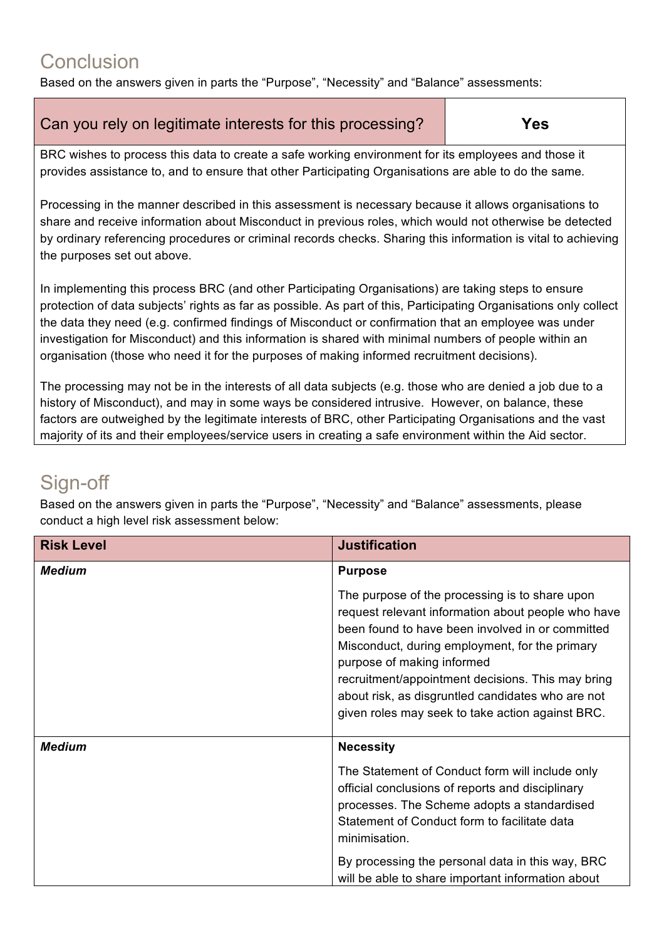### **Conclusion**

Based on the answers given in parts the "Purpose", "Necessity" and "Balance" assessments:

| Can you rely on legitimate interests for this processing? | <b>Yes</b> |
|-----------------------------------------------------------|------------|
|                                                           |            |

BRC wishes to process this data to create a safe working environment for its employees and those it provides assistance to, and to ensure that other Participating Organisations are able to do the same.

Processing in the manner described in this assessment is necessary because it allows organisations to share and receive information about Misconduct in previous roles, which would not otherwise be detected by ordinary referencing procedures or criminal records checks. Sharing this information is vital to achieving the purposes set out above.

In implementing this process BRC (and other Participating Organisations) are taking steps to ensure protection of data subjects' rights as far as possible. As part of this, Participating Organisations only collect the data they need (e.g. confirmed findings of Misconduct or confirmation that an employee was under investigation for Misconduct) and this information is shared with minimal numbers of people within an organisation (those who need it for the purposes of making informed recruitment decisions).

The processing may not be in the interests of all data subjects (e.g. those who are denied a job due to a history of Misconduct), and may in some ways be considered intrusive. However, on balance, these factors are outweighed by the legitimate interests of BRC, other Participating Organisations and the vast majority of its and their employees/service users in creating a safe environment within the Aid sector.

# Sign-off

Based on the answers given in parts the "Purpose", "Necessity" and "Balance" assessments, please conduct a high level risk assessment below:

| <b>Risk Level</b> | <b>Justification</b>                                                                                                                                                                                                                                                                                                                                                                                   |
|-------------------|--------------------------------------------------------------------------------------------------------------------------------------------------------------------------------------------------------------------------------------------------------------------------------------------------------------------------------------------------------------------------------------------------------|
| <b>Medium</b>     | <b>Purpose</b>                                                                                                                                                                                                                                                                                                                                                                                         |
|                   | The purpose of the processing is to share upon<br>request relevant information about people who have<br>been found to have been involved in or committed<br>Misconduct, during employment, for the primary<br>purpose of making informed<br>recruitment/appointment decisions. This may bring<br>about risk, as disgruntled candidates who are not<br>given roles may seek to take action against BRC. |
| <b>Medium</b>     | <b>Necessity</b>                                                                                                                                                                                                                                                                                                                                                                                       |
|                   | The Statement of Conduct form will include only<br>official conclusions of reports and disciplinary<br>processes. The Scheme adopts a standardised<br>Statement of Conduct form to facilitate data<br>minimisation.<br>By processing the personal data in this way, BRC<br>will be able to share important information about                                                                           |